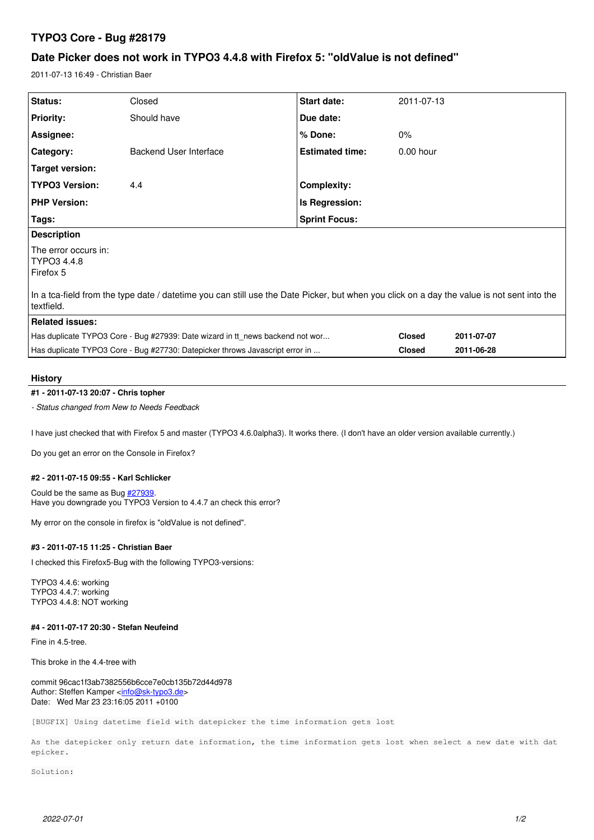# **TYPO3 Core - Bug #28179**

# **Date Picker does not work in TYPO3 4.4.8 with Firefox 5: "oldValue is not defined"**

2011-07-13 16:49 - Christian Baer

| Status:                                                                                                                                                  | Closed                 | Start date:            | 2011-07-13    |            |
|----------------------------------------------------------------------------------------------------------------------------------------------------------|------------------------|------------------------|---------------|------------|
| <b>Priority:</b>                                                                                                                                         | Should have            | Due date:              |               |            |
| Assignee:                                                                                                                                                |                        | % Done:                | $0\%$         |            |
| <b>Category:</b>                                                                                                                                         | Backend User Interface | <b>Estimated time:</b> | $0.00$ hour   |            |
| Target version:                                                                                                                                          |                        |                        |               |            |
| <b>TYPO3 Version:</b>                                                                                                                                    | 4.4                    | Complexity:            |               |            |
| <b>PHP Version:</b>                                                                                                                                      |                        | Is Regression:         |               |            |
| Tags:                                                                                                                                                    |                        | <b>Sprint Focus:</b>   |               |            |
| <b>Description</b>                                                                                                                                       |                        |                        |               |            |
| The error occurs in:<br>TYPO3 4.4.8<br>Firefox 5                                                                                                         |                        |                        |               |            |
| In a tca-field from the type date / datetime you can still use the Date Picker, but when you click on a day the value is not sent into the<br>textfield. |                        |                        |               |            |
| <b>Related issues:</b>                                                                                                                                   |                        |                        |               |            |
| Has duplicate TYPO3 Core - Bug #27939: Date wizard in tt news backend not wor                                                                            |                        |                        | <b>Closed</b> | 2011-07-07 |
| Has duplicate TYPO3 Core - Bug #27730: Datepicker throws Javascript error in                                                                             |                        |                        | <b>Closed</b> | 2011-06-28 |

# **History**

# **#1 - 2011-07-13 20:07 - Chris topher**

*- Status changed from New to Needs Feedback*

I have just checked that with Firefox 5 and master (TYPO3 4.6.0alpha3). It works there. (I don't have an older version available currently.)

Do you get an error on the Console in Firefox?

## **#2 - 2011-07-15 09:55 - Karl Schlicker**

Could be the same as Bug [#27939](https://forge.typo3.org/issues/27939). Have you downgrade you TYPO3 Version to 4.4.7 an check this error?

My error on the console in firefox is "oldValue is not defined".

#### **#3 - 2011-07-15 11:25 - Christian Baer**

I checked this Firefox5-Bug with the following TYPO3-versions:

TYPO3 4.4.6: working TYPO3 4.4.7: working TYPO3 4.4.8: NOT working

# **#4 - 2011-07-17 20:30 - Stefan Neufeind**

Fine in 4.5-tree.

This broke in the 4.4-tree with

commit 96cac1f3ab7382556b6cce7e0cb135b72d44d978 Author: Steffen Kamper <[info@sk-typo3.de](mailto:info@sk-typo3.de)> Date: Wed Mar 23 23:16:05 2011 +0100

[BUGFIX] Using datetime field with datepicker the time information gets lost

As the datepicker only return date information, the time information gets lost when select a new date with dat epicker.

Solution: